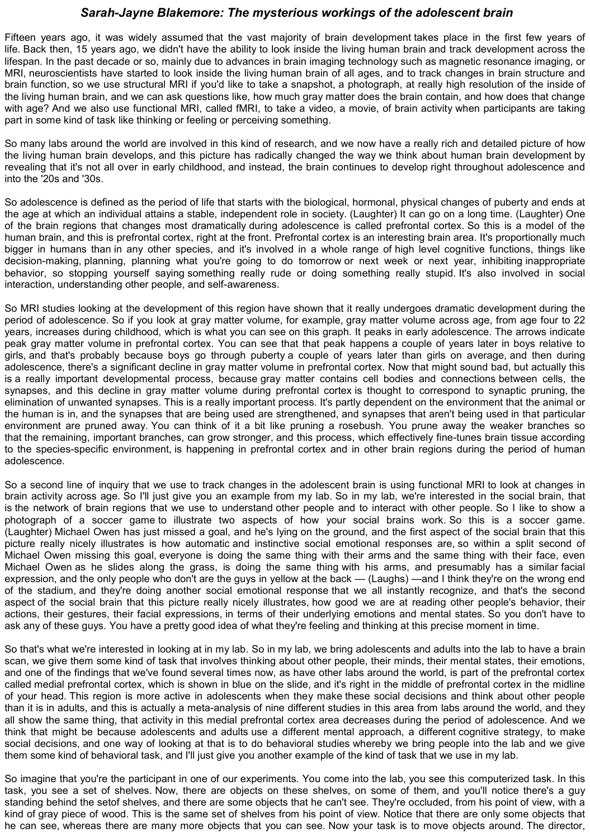## *Sarah-Jayne Blakemore: The mysterious workings of the adolescent brain*

Fifteen years ago, it was widely assumed that the vast majority of brain development takes place in the first few years of life. Back then, 15 years ago, we didn't have the ability to look inside the living human brain and track development across the lifespan. In the past decade or so, mainly due to advances in brain imaging technology such as magnetic resonance imaging, or MRI, neuroscientists have started to look inside the living human brain of all ages, and to track changes in brain structure and brain function, so we use structural MRI if you'd like to take a snapshot, a photograph, at really high resolution of the inside of the living human brain, and we can ask questions like, how much gray matter does the brain contain, and how does that change with age? And we also use functional MRI, called fMRI, to take a video, a movie, of brain activity when participants are taking part in some kind of task like thinking or feeling or perceiving something.

So many labs around the world are involved in this kind of research, and we now have a really rich and detailed picture of how the living human brain develops, and this picture has radically changed the way we think about human brain development by revealing that it's not all over in early childhood, and instead, the brain continues to develop right throughout adolescence and into the '20s and '30s.

So adolescence is defined as the period of life that starts with the biological, hormonal, physical changes of puberty and ends at the age at which an individual attains a stable, independent role in society. (Laughter) It can go on a long time. (Laughter) One of the brain regions that changes most dramatically during adolescence is called prefrontal cortex. So this is a model of the human brain, and this is prefrontal cortex, right at the front. Prefrontal cortex is an interesting brain area. It's proportionally much bigger in humans than in any other species, and it's involved in a whole range of high level cognitive functions, things like decision-making, planning, planning what you're going to do tomorrow or next week or next year, inhibiting inappropriate behavior, so stopping yourself saying something really rude or doing something really stupid. It's also involved in social interaction, understanding other people, and self-awareness.

So MRI studies looking at the development of this region have shown that it really undergoes dramatic development during the period of adolescence. So if you look at gray matter volume, for example, gray matter volume across age, from age four to 22 years, increases during childhood, which is what you can see on this graph. It peaks in early adolescence. The arrows indicate peak gray matter volume in prefrontal cortex. You can see that that peak happens a couple of years later in boys relative to girls, and that's probably because boys go through puberty a couple of years later than girls on average, and then during adolescence, there's a significant decline in gray matter volume in prefrontal cortex. Now that might sound bad, but actually this is a really important developmental process, because gray matter contains cell bodies and connections between cells, the synapses, and this decline in gray matter volume during prefrontal cortex is thought to correspond to synaptic pruning, the elimination of unwanted synapses. This is a really important process. It's partly dependent on the environment that the animal or the human is in, and the synapses that are being used are strengthened, and synapses that aren't being used in that particular environment are pruned away. You can think of it a bit like pruning a rosebush. You prune away the weaker branches so that the remaining, important branches, can grow stronger, and this process, which effectively fine-tunes brain tissue according to the species-specific environment, is happening in prefrontal cortex and in other brain regions during the period of human adolescence.

So a second line of inquiry that we use to track changes in the adolescent brain is using functional MRI to look at changes in brain activity across age. So I'll just give you an example from my lab. So in my lab, we're interested in the social brain, that is the network of brain regions that we use to understand other people and to interact with other people. So I like to show a photograph of a soccer game to illustrate two aspects of how your social brains work. So this is a soccer game. (Laughter) Michael Owen has just missed a goal, and he's lying on the ground, and the first aspect of the social brain that this picture really nicely illustrates is how automatic and instinctive social emotional responses are, so within a split second of Michael Owen missing this goal, everyone is doing the same thing with their arms and the same thing with their face, even Michael Owen as he slides along the grass, is doing the same thing with his arms, and presumably has a similar facial expression, and the only people who don't are the guys in yellow at the back — (Laughs) —and I think they're on the wrong end of the stadium, and they're doing another social emotional response that we all instantly recognize, and that's the second aspect of the social brain that this picture really nicely illustrates, how good we are at reading other people's behavior, their actions, their gestures, their facial expressions, in terms of their underlying emotions and mental states. So you don't have to ask any of these guys. You have a pretty good idea of what they're feeling and thinking at this precise moment in time.

So that's what we're interested in looking at in my lab. So in my lab, we bring adolescents and adults into the lab to have a brain scan, we give them some kind of task that involves thinking about other people, their minds, their mental states, their emotions, and one of the findings that we've found several times now, as have other labs around the world, is part of the prefrontal cortex called medial prefrontal cortex, which is shown in blue on the slide, and it's right in the middle of prefrontal cortex in the midline of your head. This region is more active in adolescents when they make these social decisions and think about other people than it is in adults, and this is actually a meta-analysis of nine different studies in this area from labs around the world, and they all show the same thing, that activity in this medial prefrontal cortex area decreases during the period of adolescence. And we think that might be because adolescents and adults use a different mental approach, a different cognitive strategy, to make social decisions, and one way of looking at that is to do behavioral studies whereby we bring people into the lab and we give them some kind of behavioral task, and I'll just give you another example of the kind of task that we use in my lab.

So imagine that you're the participant in one of our experiments. You come into the lab, you see this computerized task. In this task, you see a set of shelves. Now, there are objects on these shelves, on some of them, and you'll notice there's a guy standing behind the setof shelves, and there are some objects that he can't see. They're occluded, from his point of view, with a kind of gray piece of wood. This is the same set of shelves from his point of view. Notice that there are only some objects that he can see, whereas there are many more objects that you can see. Now your task is to move objects around. The director,